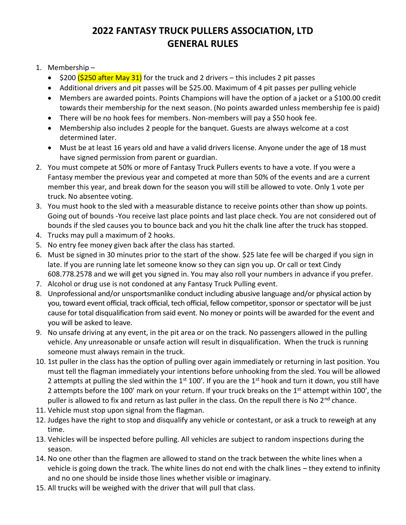## **2022 FANTASY TRUCK PULLERS ASSOCIATION, LTD GENERAL RULES**

- 1. Membership
	- $\frac{1}{200}$   $\frac{1}{250}$  after May 31) for the truck and 2 drivers this includes 2 pit passes
	- Additional drivers and pit passes will be \$25.00. Maximum of 4 pit passes per pulling vehicle
	- Members are awarded points. Points Champions will have the option of a jacket or a \$100.00 credit towards their membership for the next season. (No points awarded unless membership fee is paid)
	- There will be no hook fees for members. Non-members will pay a \$50 hook fee.
	- Membership also includes 2 people for the banquet. Guests are always welcome at a cost determined later.
	- Must be at least 16 years old and have a valid drivers license. Anyone under the age of 18 must have signed permission from parent or guardian.
- 2. You must compete at 50% or more of Fantasy Truck Pullers events to have a vote. If you were a Fantasy member the previous year and competed at more than 50% of the events and are a current member this year, and break down for the season you will still be allowed to vote. Only 1 vote per truck. No absentee voting.
- 3. You must hook to the sled with a measurable distance to receive points other than show up points. Going out of bounds -You receive last place points and last place check. You are not considered out of bounds if the sled causes you to bounce back and you hit the chalk line after the truck has stopped.
- 4. Trucks may pull a maximum of 2 hooks.
- 5. No entry fee money given back after the class has started.
- 6. Must be signed in 30 minutes prior to the start of the show. \$25 late fee will be charged if you sign in late. If you are running late let someone know so they can sign you up. Or call or text Cindy 608.778.2578 and we will get you signed in. You may also roll your numbers in advance if you prefer.
- 7. Alcohol or drug use is not condoned at any Fantasy Truck Pulling event.
- 8. Unprofessional and/or unsportsmanlike conduct including abusive language and/or physical action by you, toward event official, track official, tech official, fellow competitor, sponsor or spectator will be just cause for total disqualification from said event. No money or points will be awarded for the event and you will be asked to leave.
- 9. No unsafe driving at any event, in the pit area or on the track. No passengers allowed in the pulling vehicle. Any unreasonable or unsafe action will result in disqualification. When the truck is running someone must always remain in the truck.
- 10. 1st puller in the class has the option of pulling over again immediately or returning in last position. You must tell the flagman immediately your intentions before unhooking from the sled. You will be allowed 2 attempts at pulling the sled within the  $1<sup>st</sup> 100'$ . If you are the  $1<sup>st</sup>$  hook and turn it down, you still have 2 attempts before the 100' mark on your return. If your truck breaks on the 1<sup>st</sup> attempt within 100', the puller is allowed to fix and return as last puller in the class. On the repull there is No 2<sup>nd</sup> chance.
- 11. Vehicle must stop upon signal from the flagman.
- 12. Judges have the right to stop and disqualify any vehicle or contestant, or ask a truck to reweigh at any time.
- 13. Vehicles will be inspected before pulling. All vehicles are subject to random inspections during the season.
- 14. No one other than the flagmen are allowed to stand on the track between the white lines when a vehicle is going down the track. The white lines do not end with the chalk lines – they extend to infinity and no one should be inside those lines whether visible or imaginary.
- 15. All trucks will be weighed with the driver that will pull that class.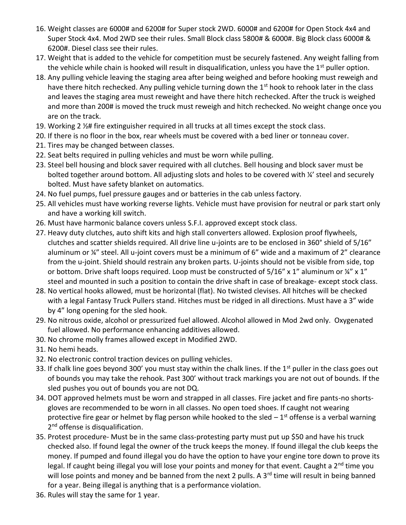- 16. Weight classes are 6000# and 6200# for Super stock 2WD. 6000# and 6200# for Open Stock 4x4 and Super Stock 4x4. Mod 2WD see their rules. Small Block class 5800# & 6000#. Big Block class 6000# & 6200#. Diesel class see their rules.
- 17. Weight that is added to the vehicle for competition must be securely fastened. Any weight falling from the vehicle while chain is hooked will result in disqualification, unless you have the  $1<sup>st</sup>$  puller option.
- 18. Any pulling vehicle leaving the staging area after being weighed and before hooking must reweigh and have there hitch rechecked. Any pulling vehicle turning down the 1<sup>st</sup> hook to rehook later in the class and leaves the staging area must reweight and have there hitch rechecked. After the truck is weighed and more than 200# is moved the truck must reweigh and hitch rechecked. No weight change once you are on the track.
- 19. Working 2 ½# fire extinguisher required in all trucks at all times except the stock class.
- 20. If there is no floor in the box, rear wheels must be covered with a bed liner or tonneau cover.
- 21. Tires may be changed between classes.
- 22. Seat belts required in pulling vehicles and must be worn while pulling.
- 23. Steel bell housing and block saver required with all clutches. Bell housing and block saver must be bolted together around bottom. All adjusting slots and holes to be covered with ¼' steel and securely bolted. Must have safety blanket on automatics.
- 24. No fuel pumps, fuel pressure gauges and or batteries in the cab unless factory.
- 25. All vehicles must have working reverse lights. Vehicle must have provision for neutral or park start only and have a working kill switch.
- 26. Must have harmonic balance covers unless S.F.I. approved except stock class.
- 27. Heavy duty clutches, auto shift kits and high stall converters allowed. Explosion proof flywheels, clutches and scatter shields required. All drive line u-joints are to be enclosed in 360° shield of 5/16" aluminum or ¼" steel. All u-joint covers must be a minimum of 6" wide and a maximum of 2" clearance from the u-joint. Shield should restrain any broken parts. U-joints should not be visible from side, top or bottom. Drive shaft loops required. Loop must be constructed of  $5/16''$  x 1" aluminum or  $\frac{1}{4}$ " x 1" steel and mounted in such a position to contain the drive shaft in case of breakage- except stock class.
- 28. No vertical hooks allowed, must be horizontal (flat). No twisted clevises. All hitches will be checked with a legal Fantasy Truck Pullers stand. Hitches must be ridged in all directions. Must have a 3" wide by 4" long opening for the sled hook.
- 29. No nitrous oxide, alcohol or pressurized fuel allowed. Alcohol allowed in Mod 2wd only. Oxygenated fuel allowed. No performance enhancing additives allowed.
- 30. No chrome molly frames allowed except in Modified 2WD.
- 31. No hemi heads.
- 32. No electronic control traction devices on pulling vehicles.
- 33. If chalk line goes beyond 300' you must stay within the chalk lines. If the  $1<sup>st</sup>$  puller in the class goes out of bounds you may take the rehook. Past 300' without track markings you are not out of bounds. If the sled pushes you out of bounds you are not DQ.
- 34. DOT approved helmets must be worn and strapped in all classes. Fire jacket and fire pants-no shortsgloves are recommended to be worn in all classes. No open toed shoes. If caught not wearing protective fire gear or helmet by flag person while hooked to the sled  $-1<sup>st</sup>$  offense is a verbal warning 2<sup>nd</sup> offense is disqualification.
- 35. Protest procedure- Must be in the same class-protesting party must put up \$50 and have his truck checked also. If found legal the owner of the truck keeps the money. If found illegal the club keeps the money. If pumped and found illegal you do have the option to have your engine tore down to prove its legal. If caught being illegal you will lose your points and money for that event. Caught a 2<sup>nd</sup> time you will lose points and money and be banned from the next 2 pulls. A 3<sup>rd</sup> time will result in being banned for a year. Being illegal is anything that is a performance violation.
- 36. Rules will stay the same for 1 year.